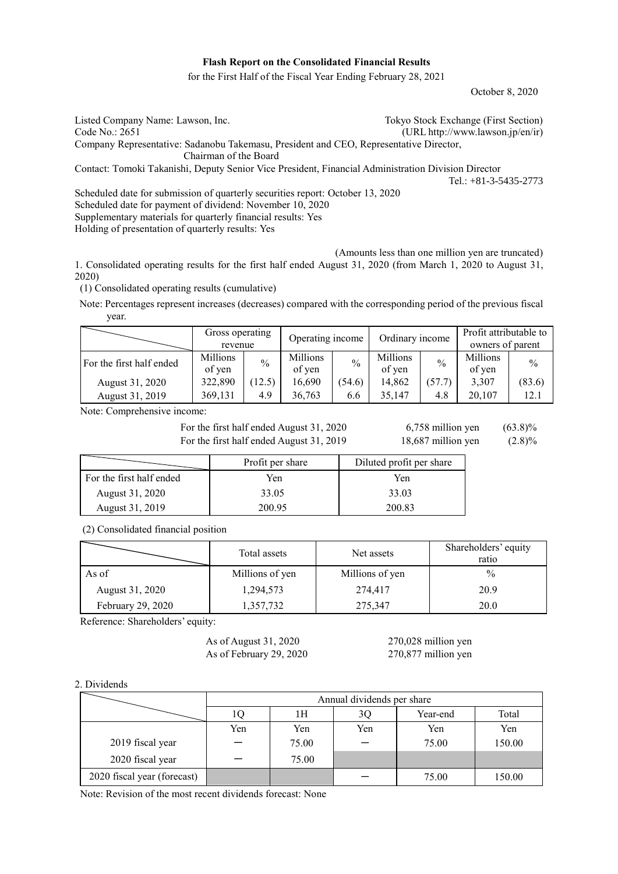## **Flash Report on the Consolidated Financial Results**

for the First Half of the Fiscal Year Ending February 28, 2021

October 8, 2020

| Listed Company Name: Lawson, Inc.                                                                   | Tokyo Stock Exchange (First Section) |
|-----------------------------------------------------------------------------------------------------|--------------------------------------|
| Code No.: 2651                                                                                      | $(URL http://www.lawson.jp/en/ir)$   |
| Company Representative: Sadanobu Takemasu, President and CEO, Representative Director,              |                                      |
| Chairman of the Board                                                                               |                                      |
| Contact: Tomoki Takanishi, Deputy Senior Vice President, Financial Administration Division Director |                                      |
|                                                                                                     | Tel.: $+81-3-5435-2773$              |
| Scheduled date for submission of quarterly securities report: October 13, 2020                      |                                      |
| Scheduled date for payment of dividend: November 10, 2020                                           |                                      |
|                                                                                                     |                                      |

Supplementary materials for quarterly financial results: Yes

Holding of presentation of quarterly results: Yes

(Amounts less than one million yen are truncated)

1. Consolidated operating results for the first half ended August 31, 2020 (from March 1, 2020 to August 31, 2020)

(1) Consolidated operating results (cumulative)

Note: Percentages represent increases (decreases) compared with the corresponding period of the previous fiscal year.

|                          | Gross operating<br>revenue |               | Operating income   |        | Ordinary income    |               | Profit attributable to<br>owners of parent |        |
|--------------------------|----------------------------|---------------|--------------------|--------|--------------------|---------------|--------------------------------------------|--------|
| For the first half ended | Millions<br>of yen         | $\frac{0}{0}$ | Millions<br>of yen | $\%$   | Millions<br>of yen | $\frac{0}{0}$ | Millions<br>of yen                         | $\%$   |
| August 31, 2020          | 322,890                    | (12.5)        | 16,690             | (54.6) | 14.862             | (57.7)        | 3,307                                      | (83.6) |
| August 31, 2019          | 369,131                    | 4.9           | 36,763             | 6.6    | 35.147             | 4.8           | 20.107                                     | 12.1   |

Note: Comprehensive income:

For the first half ended August 31, 2020  $6,758$  million yen  $(63.8)\%$ For the first half ended August 31, 2019 18,687 million yen (2.8)%

|                          | Profit per share | Diluted profit per share |
|--------------------------|------------------|--------------------------|
| For the first half ended | Yen              | Yen                      |
| August 31, 2020          | 33.05            | 33.03                    |
| August 31, 2019          | 200.95           | 200.83                   |

(2) Consolidated financial position

|                   | Total assets    | Net assets      | Shareholders' equity<br>ratio |
|-------------------|-----------------|-----------------|-------------------------------|
| As of             | Millions of yen | Millions of yen | $\%$                          |
| August 31, 2020   | 1,294,573       | 274,417         | 20.9                          |
| February 29, 2020 | 1,357,732       | 275,347         | 20.0                          |

Reference: Shareholders' equity:

As of August 31, 2020 270,028 million yen As of February 29, 2020 270,877 million yen

2. Dividends

|                             |     | Annual dividends per share |     |          |        |  |
|-----------------------------|-----|----------------------------|-----|----------|--------|--|
|                             |     | 1Н                         | 3Q  | Year-end | Total  |  |
|                             | Yen | Yen                        | Yen | Yen      | Yen    |  |
| 2019 fiscal year            |     | 75.00                      |     | 75.00    | 150.00 |  |
| 2020 fiscal year            |     | 75.00                      |     |          |        |  |
| 2020 fiscal year (forecast) |     |                            |     | 75.00    | 150.00 |  |

Note: Revision of the most recent dividends forecast: None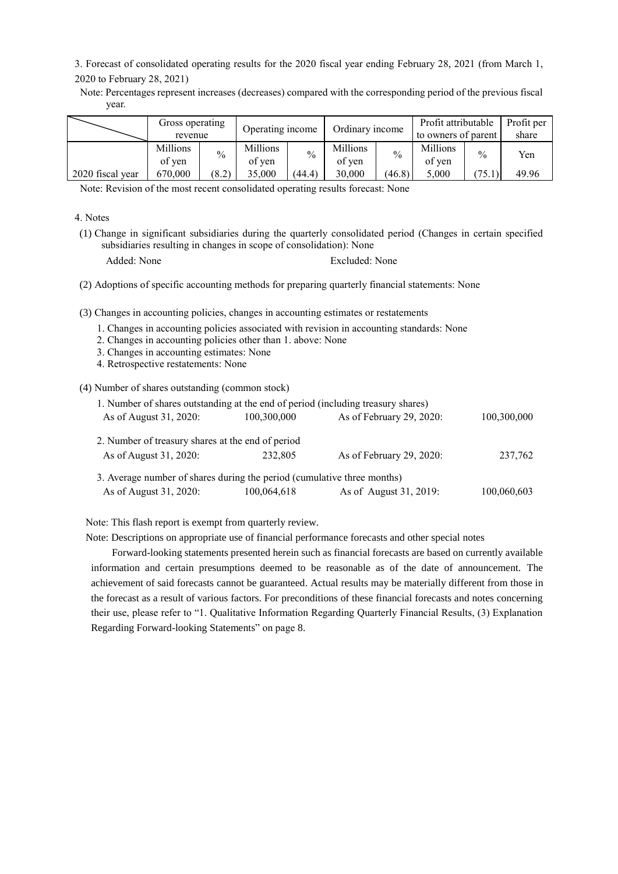3. Forecast of consolidated operating results for the 2020 fiscal year ending February 28, 2021 (from March 1, 2020 to February 28, 2021)

Note: Percentages represent increases (decreases) compared with the corresponding period of the previous fiscal year.

|                  | Gross operating<br>revenue |       | Operating income   |        | Ordinary income           |               | Profit attributable<br>to owners of parent |               | Profit per<br>share |
|------------------|----------------------------|-------|--------------------|--------|---------------------------|---------------|--------------------------------------------|---------------|---------------------|
|                  | <b>Millions</b><br>of ven  | $\%$  | Millions<br>of ven | $\%$   | <b>Millions</b><br>of ven | $\frac{0}{0}$ | Millions<br>of yen                         | $\frac{0}{0}$ | Yen                 |
| 2020 fiscal year | 670,000                    | (8.2) | 35,000             | (44.4) | 30.000                    | (46.8)        | 5.000                                      | 75.1          | 49.96               |

Note: Revision of the most recent consolidated operating results forecast: None

4. Notes

- (1) Change in significant subsidiaries during the quarterly consolidated period (Changes in certain specified subsidiaries resulting in changes in scope of consolidation): None
	- Added: None Excluded: None

(2) Adoptions of specific accounting methods for preparing quarterly financial statements: None

(3) Changes in accounting policies, changes in accounting estimates or restatements

- 1. Changes in accounting policies associated with revision in accounting standards: None
- 2. Changes in accounting policies other than 1. above: None
- 3. Changes in accounting estimates: None
- 4. Retrospective restatements: None

(4) Number of shares outstanding (common stock)

| 1. Number of shares outstanding at the end of period (including treasury shares) |             |                          |             |
|----------------------------------------------------------------------------------|-------------|--------------------------|-------------|
| As of August 31, 2020:                                                           | 100,300,000 | As of February 29, 2020: | 100,300,000 |
| 2. Number of treasury shares at the end of period                                |             |                          |             |
| As of August 31, 2020:                                                           | 232.805     | As of February 29, 2020: | 237,762     |
| 3. Average number of shares during the period (cumulative three months)          |             |                          |             |
| As of August 31, 2020:                                                           | 100,064,618 | As of August 31, 2019:   | 100,060,603 |

Note: This flash report is exempt from quarterly review.

Note: Descriptions on appropriate use of financial performance forecasts and other special notes

Forward-looking statements presented herein such as financial forecasts are based on currently available information and certain presumptions deemed to be reasonable as of the date of announcement. The achievement of said forecasts cannot be guaranteed. Actual results may be materially different from those in the forecast as a result of various factors. For preconditions of these financial forecasts and notes concerning their use, please refer to "1. Qualitative Information Regarding Quarterly Financial Results, (3) Explanation Regarding Forward-looking Statements" on page 8.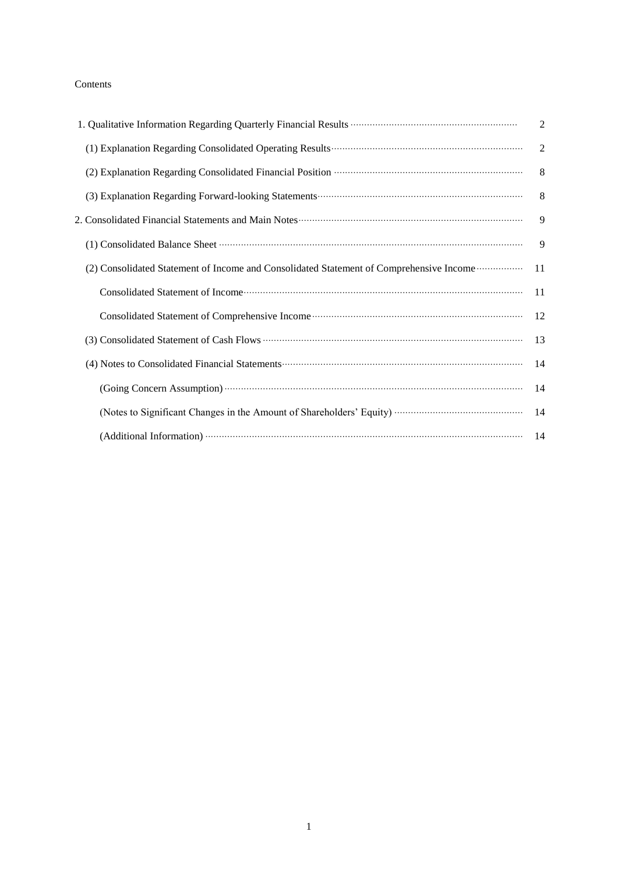## Contents

|                                                                                         | $\overline{2}$ |
|-----------------------------------------------------------------------------------------|----------------|
|                                                                                         | $\overline{2}$ |
|                                                                                         | 8              |
|                                                                                         | 8              |
|                                                                                         | 9              |
|                                                                                         | 9              |
| (2) Consolidated Statement of Income and Consolidated Statement of Comprehensive Income | 11             |
|                                                                                         | 11             |
|                                                                                         | 12             |
|                                                                                         | 13             |
|                                                                                         | 14             |
|                                                                                         | 14             |
|                                                                                         | 14             |
| (Additional Information) (14                                                            |                |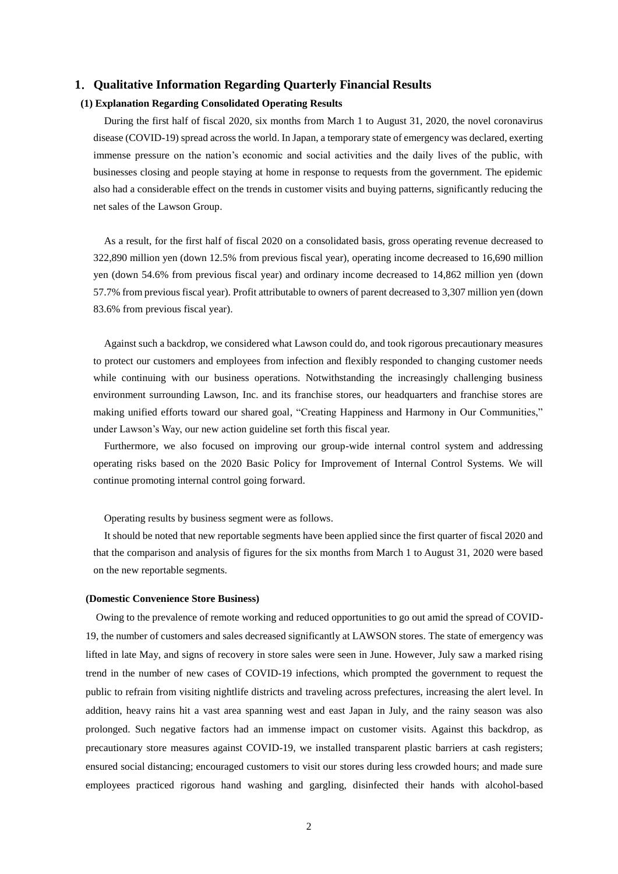## **1**.**Qualitative Information Regarding Quarterly Financial Results**

## **(1) Explanation Regarding Consolidated Operating Results**

During the first half of fiscal 2020, six months from March 1 to August 31, 2020, the novel coronavirus disease (COVID-19) spread across the world. In Japan, a temporary state of emergency was declared, exerting immense pressure on the nation's economic and social activities and the daily lives of the public, with businesses closing and people staying at home in response to requests from the government. The epidemic also had a considerable effect on the trends in customer visits and buying patterns, significantly reducing the net sales of the Lawson Group.

As a result, for the first half of fiscal 2020 on a consolidated basis, gross operating revenue decreased to 322,890 million yen (down 12.5% from previous fiscal year), operating income decreased to 16,690 million yen (down 54.6% from previous fiscal year) and ordinary income decreased to 14,862 million yen (down 57.7% from previous fiscal year). Profit attributable to owners of parent decreased to 3,307 million yen (down 83.6% from previous fiscal year).

Against such a backdrop, we considered what Lawson could do, and took rigorous precautionary measures to protect our customers and employees from infection and flexibly responded to changing customer needs while continuing with our business operations. Notwithstanding the increasingly challenging business environment surrounding Lawson, Inc. and its franchise stores, our headquarters and franchise stores are making unified efforts toward our shared goal, "Creating Happiness and Harmony in Our Communities," under Lawson's Way, our new action guideline set forth this fiscal year.

Furthermore, we also focused on improving our group-wide internal control system and addressing operating risks based on the 2020 Basic Policy for Improvement of Internal Control Systems. We will continue promoting internal control going forward.

Operating results by business segment were as follows.

It should be noted that new reportable segments have been applied since the first quarter of fiscal 2020 and that the comparison and analysis of figures for the six months from March 1 to August 31, 2020 were based on the new reportable segments.

#### **(Domestic Convenience Store Business)**

Owing to the prevalence of remote working and reduced opportunities to go out amid the spread of COVID-19, the number of customers and sales decreased significantly at LAWSON stores. The state of emergency was lifted in late May, and signs of recovery in store sales were seen in June. However, July saw a marked rising trend in the number of new cases of COVID-19 infections, which prompted the government to request the public to refrain from visiting nightlife districts and traveling across prefectures, increasing the alert level. In addition, heavy rains hit a vast area spanning west and east Japan in July, and the rainy season was also prolonged. Such negative factors had an immense impact on customer visits. Against this backdrop, as precautionary store measures against COVID-19, we installed transparent plastic barriers at cash registers; ensured social distancing; encouraged customers to visit our stores during less crowded hours; and made sure employees practiced rigorous hand washing and gargling, disinfected their hands with alcohol-based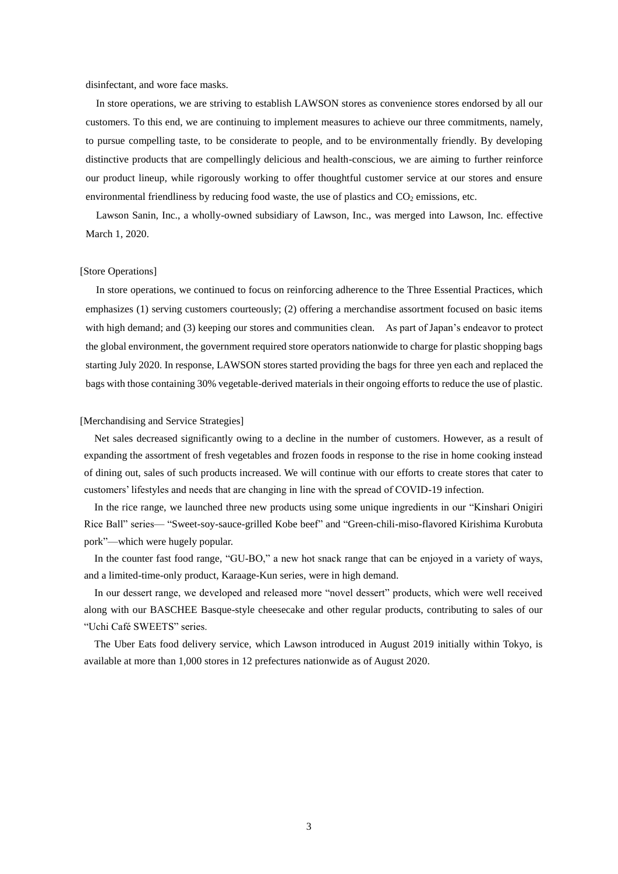disinfectant, and wore face masks.

In store operations, we are striving to establish LAWSON stores as convenience stores endorsed by all our customers. To this end, we are continuing to implement measures to achieve our three commitments, namely, to pursue compelling taste, to be considerate to people, and to be environmentally friendly. By developing distinctive products that are compellingly delicious and health-conscious, we are aiming to further reinforce our product lineup, while rigorously working to offer thoughtful customer service at our stores and ensure environmental friendliness by reducing food waste, the use of plastics and  $CO<sub>2</sub>$  emissions, etc.

Lawson Sanin, Inc., a wholly-owned subsidiary of Lawson, Inc., was merged into Lawson, Inc. effective March 1, 2020.

#### [Store Operations]

In store operations, we continued to focus on reinforcing adherence to the Three Essential Practices, which emphasizes (1) serving customers courteously; (2) offering a merchandise assortment focused on basic items with high demand; and (3) keeping our stores and communities clean. As part of Japan's endeavor to protect the global environment, the government required store operators nationwide to charge for plastic shopping bags starting July 2020. In response, LAWSON stores started providing the bags for three yen each and replaced the bags with those containing 30% vegetable-derived materials in their ongoing efforts to reduce the use of plastic.

#### [Merchandising and Service Strategies]

Net sales decreased significantly owing to a decline in the number of customers. However, as a result of expanding the assortment of fresh vegetables and frozen foods in response to the rise in home cooking instead of dining out, sales of such products increased. We will continue with our efforts to create stores that cater to customers' lifestyles and needs that are changing in line with the spread of COVID-19 infection.

In the rice range, we launched three new products using some unique ingredients in our "Kinshari Onigiri Rice Ball" series— "Sweet-soy-sauce-grilled Kobe beef" and "Green-chili-miso-flavored Kirishima Kurobuta pork"—which were hugely popular.

In the counter fast food range, "GU-BO," a new hot snack range that can be enjoyed in a variety of ways, and a limited-time-only product, Karaage-Kun series, were in high demand.

In our dessert range, we developed and released more "novel dessert" products, which were well received along with our BASCHEE Basque-style cheesecake and other regular products, contributing to sales of our "Uchi Café SWEETS" series.

The Uber Eats food delivery service, which Lawson introduced in August 2019 initially within Tokyo, is available at more than 1,000 stores in 12 prefectures nationwide as of August 2020.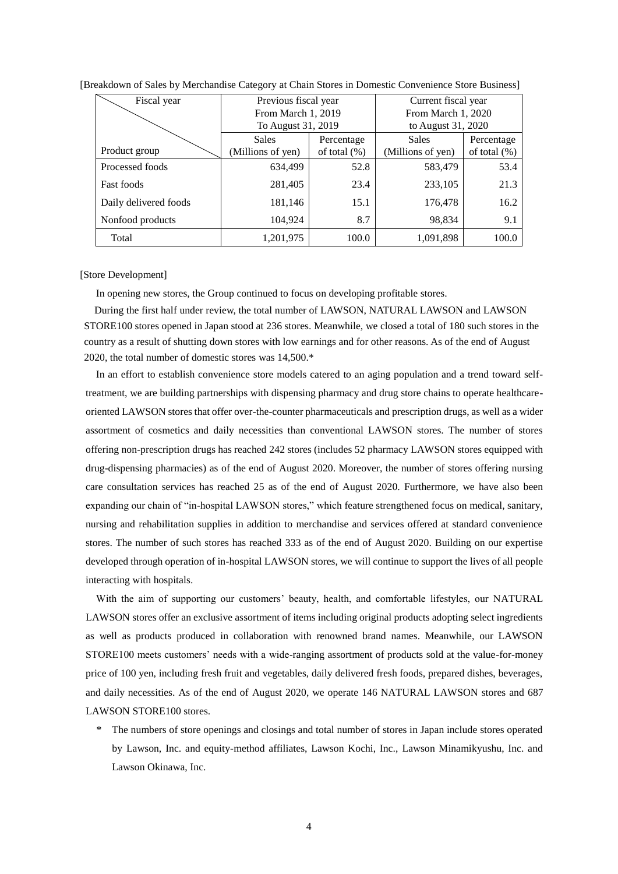| Fiscal year           | Previous fiscal year |                 | Current fiscal year |                 |
|-----------------------|----------------------|-----------------|---------------------|-----------------|
|                       | From March 1, 2019   |                 | From March 1, 2020  |                 |
|                       | To August 31, 2019   |                 | to August 31, 2020  |                 |
|                       | Sales                | Percentage      | <b>Sales</b>        | Percentage      |
| Product group         | (Millions of yen)    | of total $(\%)$ | (Millions of yen)   | of total $(\%)$ |
| Processed foods       | 634,499              | 52.8            | 583,479             | 53.4            |
| <b>Fast foods</b>     | 281,405              | 23.4            | 233,105             | 21.3            |
| Daily delivered foods | 181,146              | 15.1            | 176,478             | 16.2            |
| Nonfood products      | 104,924              | 8.7             | 98,834              | 9.1             |
| Total                 | 1,201,975            | 100.0           | 1,091,898           | 100.0           |

### [Breakdown of Sales by Merchandise Category at Chain Stores in Domestic Convenience Store Business]

[Store Development]

In opening new stores, the Group continued to focus on developing profitable stores.

During the first half under review, the total number of LAWSON, NATURAL LAWSON and LAWSON STORE100 stores opened in Japan stood at 236 stores. Meanwhile, we closed a total of 180 such stores in the country as a result of shutting down stores with low earnings and for other reasons. As of the end of August 2020, the total number of domestic stores was 14,500.\*

In an effort to establish convenience store models catered to an aging population and a trend toward selftreatment, we are building partnerships with dispensing pharmacy and drug store chains to operate healthcareoriented LAWSON stores that offer over-the-counter pharmaceuticals and prescription drugs, as well as a wider assortment of cosmetics and daily necessities than conventional LAWSON stores. The number of stores offering non-prescription drugs has reached 242 stores (includes 52 pharmacy LAWSON stores equipped with drug-dispensing pharmacies) as of the end of August 2020. Moreover, the number of stores offering nursing care consultation services has reached 25 as of the end of August 2020. Furthermore, we have also been expanding our chain of "in-hospital LAWSON stores," which feature strengthened focus on medical, sanitary, nursing and rehabilitation supplies in addition to merchandise and services offered at standard convenience stores. The number of such stores has reached 333 as of the end of August 2020. Building on our expertise developed through operation of in-hospital LAWSON stores, we will continue to support the lives of all people interacting with hospitals.

With the aim of supporting our customers' beauty, health, and comfortable lifestyles, our NATURAL LAWSON stores offer an exclusive assortment of items including original products adopting select ingredients as well as products produced in collaboration with renowned brand names. Meanwhile, our LAWSON STORE100 meets customers' needs with a wide-ranging assortment of products sold at the value-for-money price of 100 yen, including fresh fruit and vegetables, daily delivered fresh foods, prepared dishes, beverages, and daily necessities. As of the end of August 2020, we operate 146 NATURAL LAWSON stores and 687 LAWSON STORE100 stores.

\* The numbers of store openings and closings and total number of stores in Japan include stores operated by Lawson, Inc. and equity-method affiliates, Lawson Kochi, Inc., Lawson Minamikyushu, Inc. and Lawson Okinawa, Inc.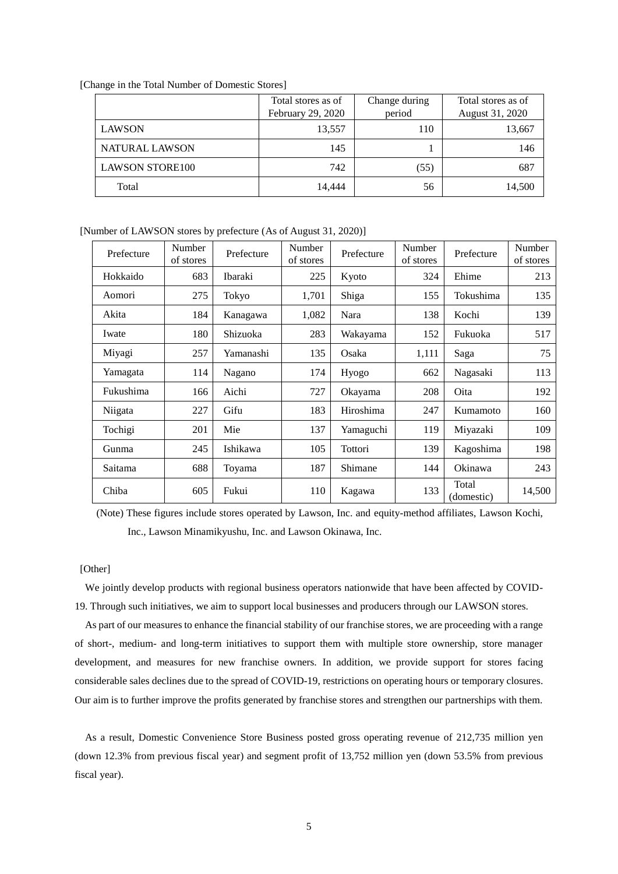| [Change in the Total Number of Domestic Stores] |  |  |  |  |  |  |
|-------------------------------------------------|--|--|--|--|--|--|
|-------------------------------------------------|--|--|--|--|--|--|

|                        | Total stores as of<br>February 29, 2020 | Change during<br>period | Total stores as of<br>August 31, 2020 |
|------------------------|-----------------------------------------|-------------------------|---------------------------------------|
| <b>LAWSON</b>          | 13,557                                  | 110                     | 13,667                                |
| NATURAL LAWSON         | 145                                     |                         | 146                                   |
| <b>LAWSON STORE100</b> | 742                                     | (55)                    | 687                                   |
| Total                  | 14,444                                  | 56                      | 14,500                                |

[Number of LAWSON stores by prefecture (As of August 31, 2020)]

| Prefecture | Number<br>of stores | Prefecture | Number<br>of stores | Prefecture | Number<br>of stores | Prefecture          | Number<br>of stores |
|------------|---------------------|------------|---------------------|------------|---------------------|---------------------|---------------------|
| Hokkaido   | 683                 | Ibaraki    | 225                 | Kyoto      | 324                 | Ehime               | 213                 |
| Aomori     | 275                 | Tokyo      | 1,701               | Shiga      | 155                 | Tokushima           | 135                 |
| Akita      | 184                 | Kanagawa   | 1,082               | Nara       | 138                 | Kochi               | 139                 |
| Iwate      | 180                 | Shizuoka   | 283                 | Wakayama   | 152                 | Fukuoka             | 517                 |
| Miyagi     | 257                 | Yamanashi  | 135                 | Osaka      | 1,111               | Saga                | 75                  |
| Yamagata   | 114                 | Nagano     | 174                 | Hyogo      | 662                 | Nagasaki            | 113                 |
| Fukushima  | 166                 | Aichi      | 727                 | Okayama    | 208                 | Oita                | 192                 |
| Niigata    | 227                 | Gifu       | 183                 | Hiroshima  | 247                 | Kumamoto            | 160                 |
| Tochigi    | 201                 | Mie        | 137                 | Yamaguchi  | 119                 | Miyazaki            | 109                 |
| Gunma      | 245                 | Ishikawa   | 105                 | Tottori    | 139                 | Kagoshima           | 198                 |
| Saitama    | 688                 | Toyama     | 187                 | Shimane    | 144                 | Okinawa             | 243                 |
| Chiba      | 605                 | Fukui      | 110                 | Kagawa     | 133                 | Total<br>(domestic) | 14,500              |

(Note) These figures include stores operated by Lawson, Inc. and equity-method affiliates, Lawson Kochi, Inc., Lawson Minamikyushu, Inc. and Lawson Okinawa, Inc.

## [Other]

We jointly develop products with regional business operators nationwide that have been affected by COVID-19. Through such initiatives, we aim to support local businesses and producers through our LAWSON stores.

As part of our measures to enhance the financial stability of our franchise stores, we are proceeding with a range of short-, medium- and long-term initiatives to support them with multiple store ownership, store manager development, and measures for new franchise owners. In addition, we provide support for stores facing considerable sales declines due to the spread of COVID-19, restrictions on operating hours or temporary closures. Our aim is to further improve the profits generated by franchise stores and strengthen our partnerships with them.

As a result, Domestic Convenience Store Business posted gross operating revenue of 212,735 million yen (down 12.3% from previous fiscal year) and segment profit of 13,752 million yen (down 53.5% from previous fiscal year).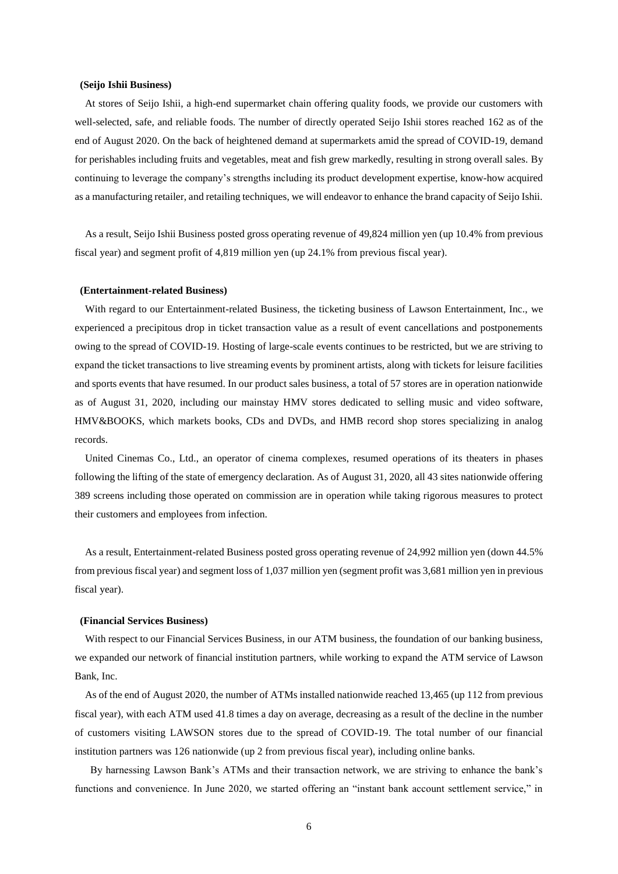### **(Seijo Ishii Business)**

At stores of Seijo Ishii, a high-end supermarket chain offering quality foods, we provide our customers with well-selected, safe, and reliable foods. The number of directly operated Seijo Ishii stores reached 162 as of the end of August 2020. On the back of heightened demand at supermarkets amid the spread of COVID-19, demand for perishables including fruits and vegetables, meat and fish grew markedly, resulting in strong overall sales. By continuing to leverage the company's strengths including its product development expertise, know-how acquired as a manufacturing retailer, and retailing techniques, we will endeavor to enhance the brand capacity of Seijo Ishii.

As a result, Seijo Ishii Business posted gross operating revenue of 49,824 million yen (up 10.4% from previous fiscal year) and segment profit of 4,819 million yen (up 24.1% from previous fiscal year).

#### **(Entertainment-related Business)**

With regard to our Entertainment-related Business, the ticketing business of Lawson Entertainment, Inc., we experienced a precipitous drop in ticket transaction value as a result of event cancellations and postponements owing to the spread of COVID-19. Hosting of large-scale events continues to be restricted, but we are striving to expand the ticket transactions to live streaming events by prominent artists, along with tickets for leisure facilities and sports events that have resumed. In our product sales business, a total of 57 stores are in operation nationwide as of August 31, 2020, including our mainstay HMV stores dedicated to selling music and video software, HMV&BOOKS, which markets books, CDs and DVDs, and HMB record shop stores specializing in analog records.

United Cinemas Co., Ltd., an operator of cinema complexes, resumed operations of its theaters in phases following the lifting of the state of emergency declaration. As of August 31, 2020, all 43 sites nationwide offering 389 screens including those operated on commission are in operation while taking rigorous measures to protect their customers and employees from infection.

As a result, Entertainment-related Business posted gross operating revenue of 24,992 million yen (down 44.5% from previous fiscal year) and segment loss of 1,037 million yen (segment profit was 3,681 million yen in previous fiscal year).

#### **(Financial Services Business)**

With respect to our Financial Services Business, in our ATM business, the foundation of our banking business, we expanded our network of financial institution partners, while working to expand the ATM service of Lawson Bank, Inc.

As of the end of August 2020, the number of ATMs installed nationwide reached 13,465 (up 112 from previous fiscal year), with each ATM used 41.8 times a day on average, decreasing as a result of the decline in the number of customers visiting LAWSON stores due to the spread of COVID-19. The total number of our financial institution partners was 126 nationwide (up 2 from previous fiscal year), including online banks.

By harnessing Lawson Bank's ATMs and their transaction network, we are striving to enhance the bank's functions and convenience. In June 2020, we started offering an "instant bank account settlement service," in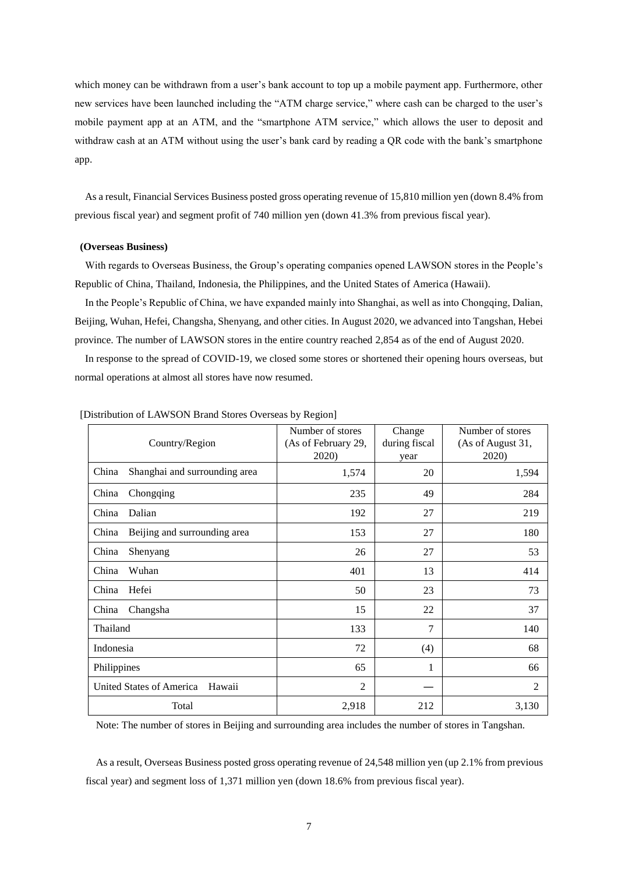which money can be withdrawn from a user's bank account to top up a mobile payment app. Furthermore, other new services have been launched including the "ATM charge service," where cash can be charged to the user's mobile payment app at an ATM, and the "smartphone ATM service," which allows the user to deposit and withdraw cash at an ATM without using the user's bank card by reading a QR code with the bank's smartphone app.

As a result, Financial Services Business posted gross operating revenue of 15,810 million yen (down 8.4% from previous fiscal year) and segment profit of 740 million yen (down 41.3% from previous fiscal year).

## **(Overseas Business)**

With regards to Overseas Business, the Group's operating companies opened LAWSON stores in the People's Republic of China, Thailand, Indonesia, the Philippines, and the United States of America (Hawaii).

In the People's Republic of China, we have expanded mainly into Shanghai, as well as into Chongqing, Dalian, Beijing, Wuhan, Hefei, Changsha, Shenyang, and other cities. In August 2020, we advanced into Tangshan, Hebei province. The number of LAWSON stores in the entire country reached 2,854 as of the end of August 2020.

In response to the spread of COVID-19, we closed some stores or shortened their opening hours overseas, but normal operations at almost all stores have now resumed.

| Country/Region                            | Number of stores<br>(As of February 29,<br>2020) | Change<br>during fiscal<br>year | Number of stores<br>(As of August 31,<br>2020) |
|-------------------------------------------|--------------------------------------------------|---------------------------------|------------------------------------------------|
| China<br>Shanghai and surrounding area    | 1,574                                            | 20                              | 1,594                                          |
| China<br>Chongqing                        | 235                                              | 49                              | 284                                            |
| China<br>Dalian                           | 192                                              | 27                              | 219                                            |
| China<br>Beijing and surrounding area     | 153                                              | 27                              | 180                                            |
| China<br>Shenyang                         | 26                                               | 27                              | 53                                             |
| China<br>Wuhan                            | 401                                              | 13                              | 414                                            |
| China<br>Hefei                            | 50                                               | 23                              | 73                                             |
| China<br>Changsha                         | 15                                               | 22                              | 37                                             |
| Thailand                                  | 133                                              | $\tau$                          | 140                                            |
| Indonesia                                 | 72                                               | (4)                             | 68                                             |
| Philippines                               | 65                                               | 1                               | 66                                             |
| <b>United States of America</b><br>Hawaii | $\overline{2}$                                   |                                 | 2                                              |
| Total                                     | 2,918                                            | 212                             | 3,130                                          |

[Distribution of LAWSON Brand Stores Overseas by Region]

Note: The number of stores in Beijing and surrounding area includes the number of stores in Tangshan.

As a result, Overseas Business posted gross operating revenue of 24,548 million yen (up 2.1% from previous fiscal year) and segment loss of 1,371 million yen (down 18.6% from previous fiscal year).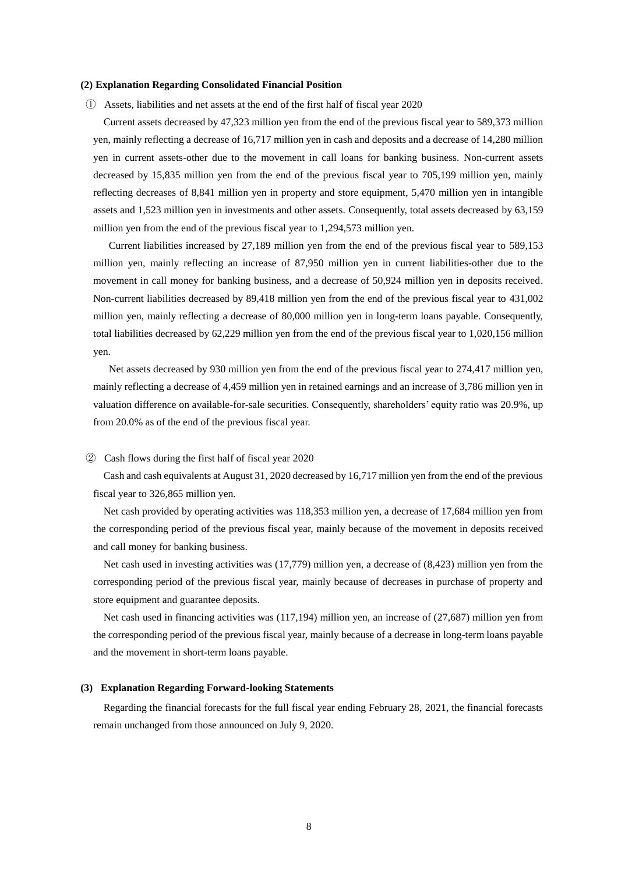## **(2) Explanation Regarding Consolidated Financial Position**

① Assets, liabilities and net assets at the end of the first half of fiscal year 2020

Current assets decreased by 47,323 million yen from the end of the previous fiscal year to 589,373 million yen, mainly reflecting a decrease of 16,717 million yen in cash and deposits and a decrease of 14,280 million yen in current assets-other due to the movement in call loans for banking business. Non-current assets decreased by 15,835 million yen from the end of the previous fiscal year to 705,199 million yen, mainly reflecting decreases of 8,841 million yen in property and store equipment, 5,470 million yen in intangible assets and 1,523 million yen in investments and other assets. Consequently, total assets decreased by 63,159 million yen from the end of the previous fiscal year to 1,294,573 million yen.

Current liabilities increased by 27,189 million yen from the end of the previous fiscal year to 589,153 million yen, mainly reflecting an increase of 87,950 million yen in current liabilities-other due to the movement in call money for banking business, and a decrease of 50,924 million yen in deposits received. Non-current liabilities decreased by 89,418 million yen from the end of the previous fiscal year to 431,002 million yen, mainly reflecting a decrease of 80,000 million yen in long-term loans payable. Consequently, total liabilities decreased by 62,229 million yen from the end of the previous fiscal year to 1,020,156 million yen.

Net assets decreased by 930 million yen from the end of the previous fiscal year to 274,417 million yen, mainly reflecting a decrease of 4,459 million yen in retained earnings and an increase of 3,786 million yen in valuation difference on available-for-sale securities. Consequently, shareholders' equity ratio was 20.9%, up from 20.0% as of the end of the previous fiscal year.

#### ② Cash flows during the first half of fiscal year 2020

Cash and cash equivalents at August 31, 2020 decreased by 16,717 million yen from the end of the previous fiscal year to 326,865 million yen.

Net cash provided by operating activities was 118,353 million yen, a decrease of 17,684 million yen from the corresponding period of the previous fiscal year, mainly because of the movement in deposits received and call money for banking business.

Net cash used in investing activities was (17,779) million yen, a decrease of (8,423) million yen from the corresponding period of the previous fiscal year, mainly because of decreases in purchase of property and store equipment and guarantee deposits.

Net cash used in financing activities was (117,194) million yen, an increase of (27,687) million yen from the corresponding period of the previous fiscal year, mainly because of a decrease in long-term loans payable and the movement in short-term loans payable.

## **(3) Explanation Regarding Forward-looking Statements**

Regarding the financial forecasts for the full fiscal year ending February 28, 2021, the financial forecasts remain unchanged from those announced on July 9, 2020.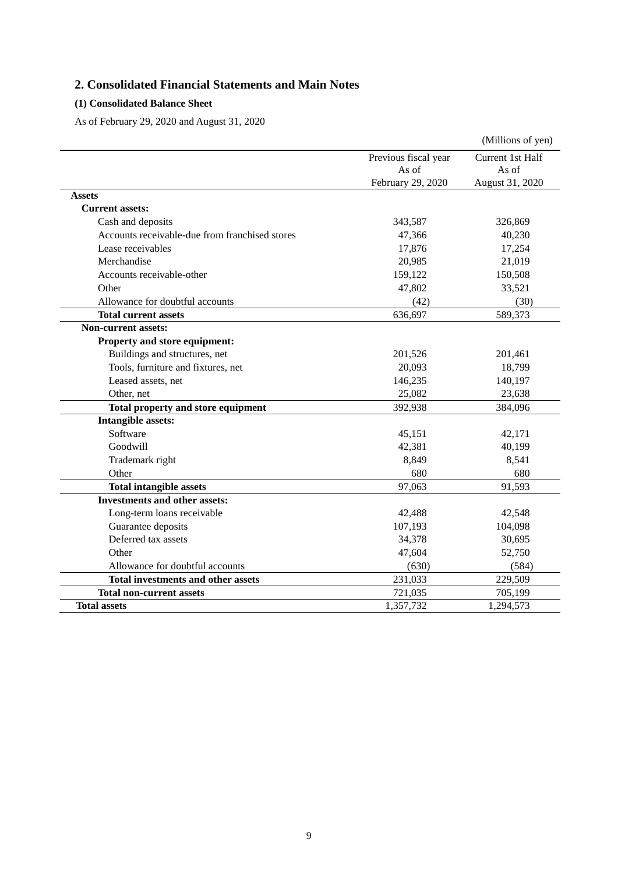# **2. Consolidated Financial Statements and Main Notes**

## **(1) Consolidated Balance Sheet**

As of February 29, 2020 and August 31, 2020

|                                                |                      | (Millions of yen) |
|------------------------------------------------|----------------------|-------------------|
|                                                | Previous fiscal year | Current 1st Half  |
|                                                | As of                | As of             |
|                                                | February 29, 2020    | August 31, 2020   |
| <b>Assets</b>                                  |                      |                   |
| <b>Current assets:</b>                         |                      |                   |
| Cash and deposits                              | 343,587              | 326,869           |
| Accounts receivable-due from franchised stores | 47,366               | 40,230            |
| Lease receivables                              | 17,876               | 17,254            |
| Merchandise                                    | 20,985               | 21,019            |
| Accounts receivable-other                      | 159,122              | 150,508           |
| Other                                          | 47,802               | 33,521            |
| Allowance for doubtful accounts                | (42)                 | (30)              |
| <b>Total current assets</b>                    | 636,697              | 589,373           |
| <b>Non-current assets:</b>                     |                      |                   |
| Property and store equipment:                  |                      |                   |
| Buildings and structures, net                  | 201,526              | 201,461           |
| Tools, furniture and fixtures, net             | 20,093               | 18,799            |
| Leased assets, net                             | 146,235              | 140,197           |
| Other, net                                     | 25,082               | 23,638            |
| Total property and store equipment             | 392,938              | 384,096           |
| <b>Intangible assets:</b>                      |                      |                   |
| Software                                       | 45,151               | 42,171            |
| Goodwill                                       | 42,381               | 40,199            |
| Trademark right                                | 8,849                | 8,541             |
| Other                                          | 680                  | 680               |
| <b>Total intangible assets</b>                 | 97,063               | 91,593            |
| <b>Investments and other assets:</b>           |                      |                   |
| Long-term loans receivable                     | 42,488               | 42,548            |
| Guarantee deposits                             | 107,193              | 104,098           |
| Deferred tax assets                            | 34,378               | 30,695            |
| Other                                          | 47,604               | 52,750            |
| Allowance for doubtful accounts                | (630)                | (584)             |
| <b>Total investments and other assets</b>      | 231,033              | 229,509           |
| <b>Total non-current assets</b>                | 721,035              | 705,199           |
| <b>Total assets</b>                            | 1,357,732            | 1,294,573         |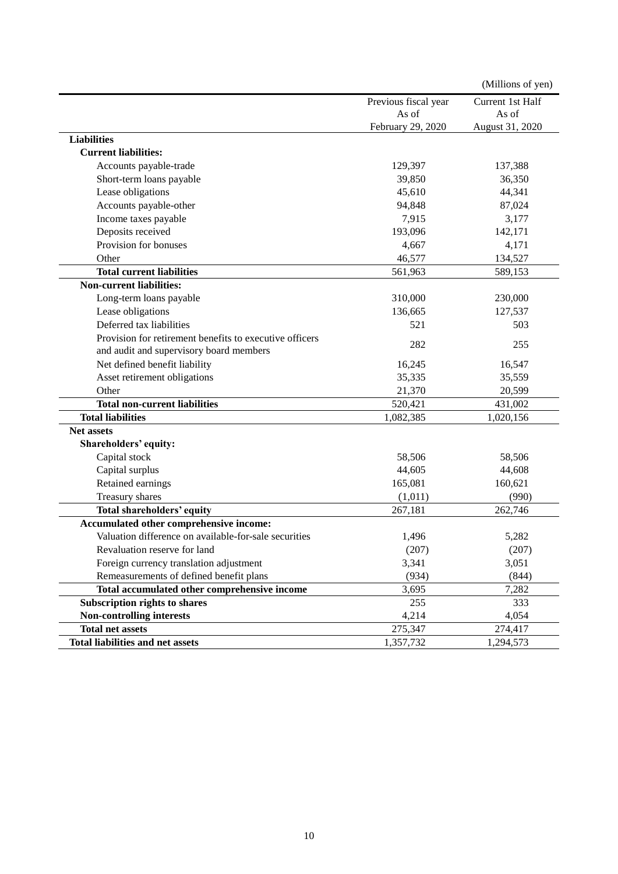|                                                         |                      | (Millions of yen) |
|---------------------------------------------------------|----------------------|-------------------|
|                                                         | Previous fiscal year | Current 1st Half  |
|                                                         | As of                | As of             |
|                                                         | February 29, 2020    | August 31, 2020   |
| <b>Liabilities</b>                                      |                      |                   |
| <b>Current liabilities:</b>                             |                      |                   |
| Accounts payable-trade                                  | 129,397              | 137,388           |
| Short-term loans payable                                | 39,850               | 36,350            |
| Lease obligations                                       | 45,610               | 44,341            |
| Accounts payable-other                                  | 94,848               | 87,024            |
| Income taxes payable                                    | 7,915                | 3,177             |
| Deposits received                                       | 193,096              | 142,171           |
| Provision for bonuses                                   | 4,667                | 4,171             |
| Other                                                   | 46,577               | 134,527           |
| <b>Total current liabilities</b>                        | 561,963              | 589,153           |
| <b>Non-current liabilities:</b>                         |                      |                   |
| Long-term loans payable                                 | 310,000              | 230,000           |
| Lease obligations                                       | 136,665              | 127,537           |
| Deferred tax liabilities                                | 521                  | 503               |
| Provision for retirement benefits to executive officers |                      |                   |
| and audit and supervisory board members                 | 282                  | 255               |
| Net defined benefit liability                           | 16,245               | 16,547            |
| Asset retirement obligations                            | 35,335               | 35,559            |
| Other                                                   | 21,370               | 20,599            |
| <b>Total non-current liabilities</b>                    | 520,421              | 431,002           |
| <b>Total liabilities</b>                                | 1,082,385            | 1,020,156         |
| <b>Net assets</b>                                       |                      |                   |
| Shareholders' equity:                                   |                      |                   |
| Capital stock                                           | 58,506               | 58,506            |
| Capital surplus                                         | 44,605               | 44,608            |
| Retained earnings                                       | 165,081              | 160,621           |
| Treasury shares                                         | (1,011)              | (990)             |
| Total shareholders' equity                              | 267,181              | 262,746           |
| Accumulated other comprehensive income:                 |                      |                   |
| Valuation difference on available-for-sale securities   | 1,496                | 5,282             |
| Revaluation reserve for land                            | (207)                | (207)             |
| Foreign currency translation adjustment                 | 3,341                | 3,051             |
| Remeasurements of defined benefit plans                 | (934)                | (844)             |
| Total accumulated other comprehensive income            | 3,695                | 7,282             |
| Subscription rights to shares                           | 255                  | 333               |
| <b>Non-controlling interests</b>                        | 4,214                | 4,054             |
| <b>Total net assets</b>                                 | 275,347              | 274,417           |
| <b>Total liabilities and net assets</b>                 | 1,357,732            | 1,294,573         |
|                                                         |                      |                   |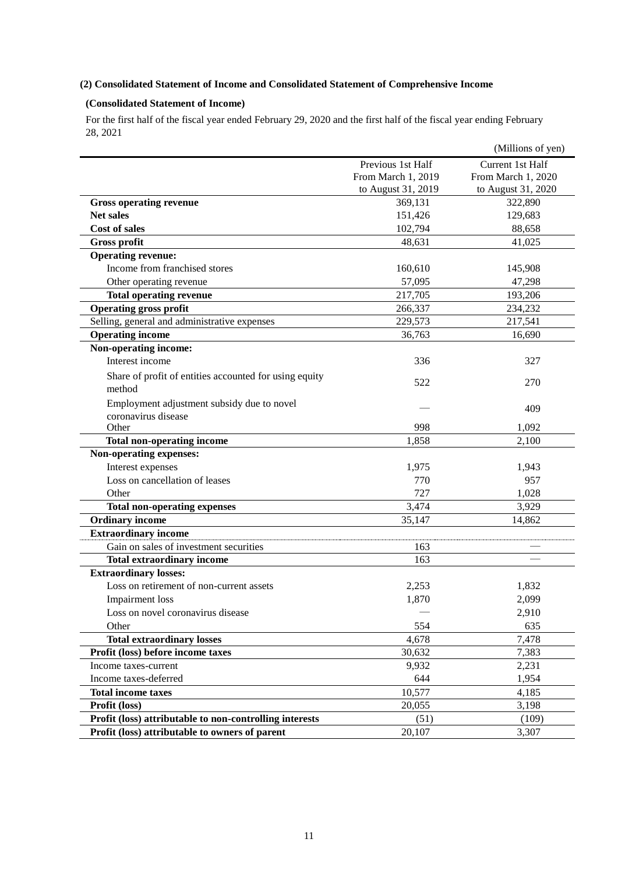## **(2) Consolidated Statement of Income and Consolidated Statement of Comprehensive Income**

## **(Consolidated Statement of Income)**

For the first half of the fiscal year ended February 29, 2020 and the first half of the fiscal year ending February 28, 2021

|                                                         |                          | (Millions of yen)  |
|---------------------------------------------------------|--------------------------|--------------------|
|                                                         | Previous 1st Half        | Current 1st Half   |
|                                                         | From March 1, 2019       | From March 1, 2020 |
|                                                         | to August 31, 2019       | to August 31, 2020 |
| <b>Gross operating revenue</b>                          | 369,131                  | 322,890            |
| <b>Net sales</b>                                        | 151,426                  | 129,683            |
| <b>Cost of sales</b>                                    | 102,794                  | 88,658             |
| <b>Gross profit</b>                                     | 48,631                   | 41,025             |
| <b>Operating revenue:</b>                               |                          |                    |
| Income from franchised stores                           | 160,610                  | 145,908            |
| Other operating revenue                                 | 57,095                   | 47,298             |
| <b>Total operating revenue</b>                          | 217,705                  | 193,206            |
| <b>Operating gross profit</b>                           | 266,337                  | 234,232            |
| Selling, general and administrative expenses            | 229,573                  | 217,541            |
| <b>Operating income</b>                                 | 36,763                   | 16,690             |
| Non-operating income:                                   |                          |                    |
| Interest income                                         | 336                      | 327                |
| Share of profit of entities accounted for using equity  | 522                      | 270                |
| method                                                  |                          |                    |
| Employment adjustment subsidy due to novel              |                          | 409                |
| coronavirus disease<br>Other                            | 998                      | 1,092              |
| <b>Total non-operating income</b>                       | 1,858                    | 2,100              |
| Non-operating expenses:                                 |                          |                    |
| Interest expenses                                       | 1,975                    | 1,943              |
| Loss on cancellation of leases                          | 770                      | 957                |
| Other                                                   | 727                      | 1,028              |
| <b>Total non-operating expenses</b>                     | 3,474                    | 3,929              |
| <b>Ordinary income</b>                                  | 35,147                   | 14,862             |
| <b>Extraordinary income</b>                             |                          |                    |
| Gain on sales of investment securities                  | 163                      |                    |
| <b>Total extraordinary income</b>                       | 163                      |                    |
| <b>Extraordinary losses:</b>                            |                          |                    |
| Loss on retirement of non-current assets                | 2,253                    | 1,832              |
| <b>Impairment</b> loss                                  | 1,870                    | 2,099              |
| Loss on novel coronavirus disease                       | $\overline{\phantom{a}}$ | 2,910              |
| Other                                                   | 554                      | 635                |
| <b>Total extraordinary losses</b>                       | 4,678                    | 7,478              |
| Profit (loss) before income taxes                       | 30,632                   | 7,383              |
| Income taxes-current                                    | 9,932                    | 2,231              |
| Income taxes-deferred                                   | 644                      | 1,954              |
| <b>Total income taxes</b>                               | 10,577                   | 4,185              |
| Profit (loss)                                           | 20,055                   | 3,198              |
| Profit (loss) attributable to non-controlling interests | (51)                     | (109)              |
| Profit (loss) attributable to owners of parent          | 20,107                   | 3,307              |
|                                                         |                          |                    |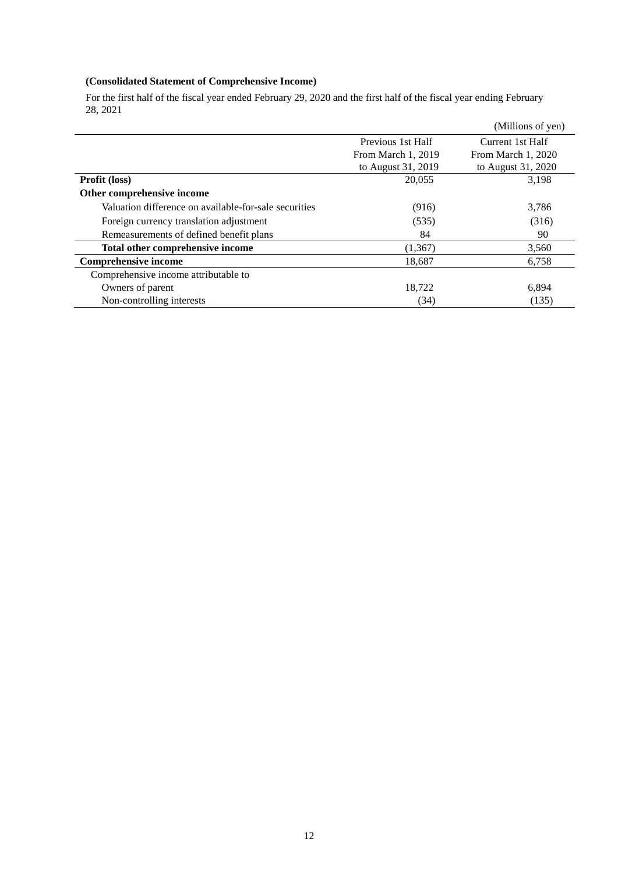# **(Consolidated Statement of Comprehensive Income)**

For the first half of the fiscal year ended February 29, 2020 and the first half of the fiscal year ending February 28, 2021

|                                                       |                    | (Millions of yen)  |
|-------------------------------------------------------|--------------------|--------------------|
|                                                       | Previous 1st Half  | Current 1st Half   |
|                                                       | From March 1, 2019 | From March 1, 2020 |
|                                                       | to August 31, 2019 | to August 31, 2020 |
| Profit (loss)                                         | 20,055             | 3,198              |
| Other comprehensive income                            |                    |                    |
| Valuation difference on available-for-sale securities | (916)              | 3,786              |
| Foreign currency translation adjustment               | (535)              | (316)              |
| Remeasurements of defined benefit plans               | 84                 | 90                 |
| Total other comprehensive income                      | (1, 367)           | 3,560              |
| <b>Comprehensive income</b>                           | 18,687             | 6,758              |
| Comprehensive income attributable to                  |                    |                    |
| Owners of parent                                      | 18,722             | 6,894              |
| Non-controlling interests                             | (34)               | (135)              |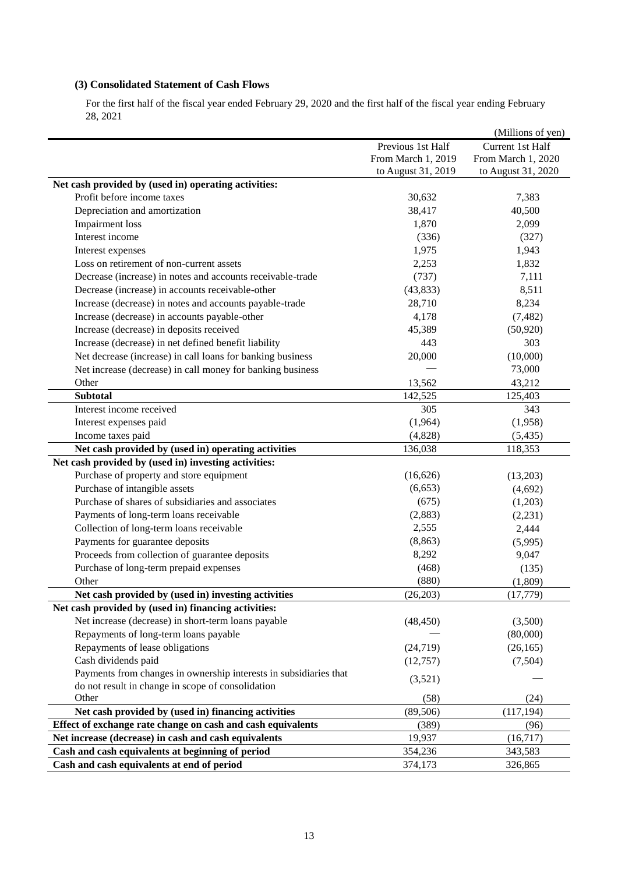## **(3) Consolidated Statement of Cash Flows**

For the first half of the fiscal year ended February 29, 2020 and the first half of the fiscal year ending February 28, 2021

|                                                                   |                    | (Millions of yen)  |
|-------------------------------------------------------------------|--------------------|--------------------|
|                                                                   | Previous 1st Half  | Current 1st Half   |
|                                                                   | From March 1, 2019 | From March 1, 2020 |
|                                                                   | to August 31, 2019 | to August 31, 2020 |
| Net cash provided by (used in) operating activities:              |                    |                    |
| Profit before income taxes                                        | 30,632             | 7,383              |
| Depreciation and amortization                                     | 38,417             | 40,500             |
| <b>Impairment</b> loss                                            | 1,870              | 2,099              |
| Interest income                                                   | (336)              | (327)              |
| Interest expenses                                                 | 1,975              | 1,943              |
| Loss on retirement of non-current assets                          | 2,253              | 1,832              |
| Decrease (increase) in notes and accounts receivable-trade        | (737)              | 7,111              |
| Decrease (increase) in accounts receivable-other                  | (43, 833)          | 8,511              |
| Increase (decrease) in notes and accounts payable-trade           | 28,710             | 8,234              |
| Increase (decrease) in accounts payable-other                     | 4,178              | (7, 482)           |
| Increase (decrease) in deposits received                          | 45,389             | (50, 920)          |
| Increase (decrease) in net defined benefit liability              | 443                | 303                |
| Net decrease (increase) in call loans for banking business        | 20,000             | (10,000)           |
| Net increase (decrease) in call money for banking business        |                    | 73,000             |
| Other                                                             | 13,562             | 43,212             |
| <b>Subtotal</b>                                                   | 142,525            | 125,403            |
| Interest income received                                          | 305                | 343                |
| Interest expenses paid                                            | (1,964)            | (1,958)            |
| Income taxes paid                                                 | (4,828)            | (5, 435)           |
| Net cash provided by (used in) operating activities               | 136,038            | 118,353            |
| Net cash provided by (used in) investing activities:              |                    |                    |
| Purchase of property and store equipment                          | (16,626)           | (13,203)           |
| Purchase of intangible assets                                     | (6, 653)           | (4,692)            |
| Purchase of shares of subsidiaries and associates                 | (675)              | (1,203)            |
| Payments of long-term loans receivable                            | (2,883)            | (2,231)            |
| Collection of long-term loans receivable                          | 2,555              | 2,444              |
| Payments for guarantee deposits                                   | (8, 863)           | (5,995)            |
| Proceeds from collection of guarantee deposits                    | 8,292              | 9,047              |
| Purchase of long-term prepaid expenses                            | (468)              | (135)              |
| Other                                                             | (880)              | (1,809)            |
| Net cash provided by (used in) investing activities               | (26, 203)          | (17, 779)          |
| Net cash provided by (used in) financing activities:              |                    |                    |
| Net increase (decrease) in short-term loans payable               | (48, 450)          | (3,500)            |
| Repayments of long-term loans payable                             |                    | (80,000)           |
| Repayments of lease obligations                                   | (24, 719)          | (26, 165)          |
| Cash dividends paid                                               | (12,757)           | (7,504)            |
| Payments from changes in ownership interests in subsidiaries that |                    |                    |
| do not result in change in scope of consolidation                 | (3,521)            |                    |
| Other                                                             | (58)               | (24)               |
| Net cash provided by (used in) financing activities               | (89, 506)          | (117, 194)         |
| Effect of exchange rate change on cash and cash equivalents       | (389)              | (96)               |
| Net increase (decrease) in cash and cash equivalents              | 19,937             | (16,717)           |
| Cash and cash equivalents at beginning of period                  | 354,236            | 343,583            |
| Cash and cash equivalents at end of period                        | 374,173            | 326,865            |